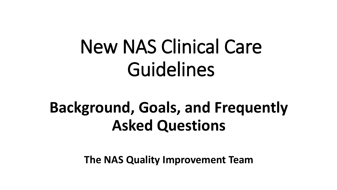# New NAS Clinical Care Guidelines

## **Background, Goals, and Frequently Asked Questions**

**The NAS Quality Improvement Team**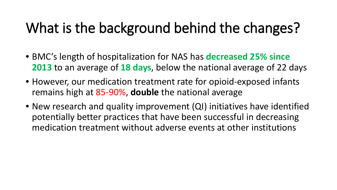### What is the background behind the changes?

- BMC's length of hospitalization for NAS has **decreased 25% since 2013** to an average of **18 days**, below the national average of 22 days
- However, our medication treatment rate for opioid-exposed infants remains high at 85-90%, **double** the national average
- New research and quality improvement (QI) initiatives have identified potentially better practices that have been successful in decreasing medication treatment without adverse events at other institutions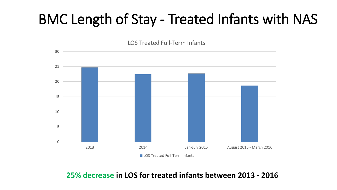### BMC Length of Stay - Treated Infants with NAS

**LOS Treated Full-Term Infants** 



**25% decrease in LOS for treated infants between 2013 - 2016**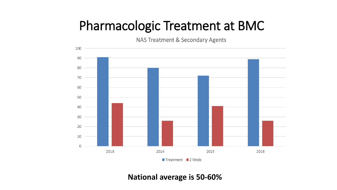#### Pharmacologic Treatment at BMC

NAS Treatment & Secondary Agents



Treatment 2 Meds

**National average is 50-60%**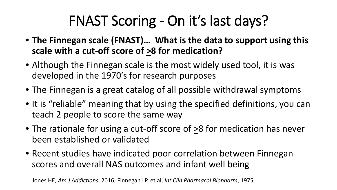## FNAST Scoring - On it's last days?

- **The Finnegan scale (FNAST)… What is the data to support using this**  scale with a cut-off score of  $\geq 8$  for medication?
- Although the Finnegan scale is the most widely used tool, it is was developed in the 1970's for research purposes
- The Finnegan is a great catalog of all possible withdrawal symptoms
- It is "reliable" meaning that by using the specified definitions, you can teach 2 people to score the same way
- The rationale for using a cut-off score of >8 for medication has never been established or validated
- Recent studies have indicated poor correlation between Finnegan scores and overall NAS outcomes and infant well being

Jones HE*, Am J Addictions*, 2016; Finnegan LP, et al, *Int Clin Pharmacol Biopharm*, 1975.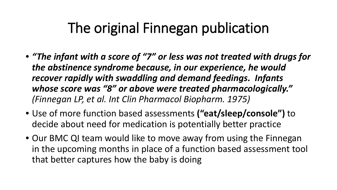### The original Finnegan publication

- *"The infant with a score of "7" or less was not treated with drugs for the abstinence syndrome because, in our experience, he would recover rapidly with swaddling and demand feedings. Infants whose score was "8" or above were treated pharmacologically." (Finnegan LP, et al. Int Clin Pharmacol Biopharm. 1975)*
- Use of more function based assessments **("eat/sleep/console")** to decide about need for medication is potentially better practice
- Our BMC QI team would like to move away from using the Finnegan in the upcoming months in place of a function based assessment tool that better captures how the baby is doing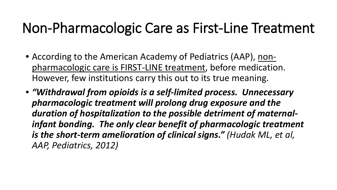### Non-Pharmacologic Care as First-Line Treatment

- According to the American Academy of Pediatrics (AAP), nonpharmacologic care is FIRST-LINE treatment, before medication. However, few institutions carry this out to its true meaning.
- *"Withdrawal from opioids is a self-limited process. Unnecessary pharmacologic treatment will prolong drug exposure and the duration of hospitalization to the possible detriment of maternalinfant bonding. The only clear benefit of pharmacologic treatment is the short-term amelioration of clinical signs." (Hudak ML, et al, AAP, Pediatrics, 2012)*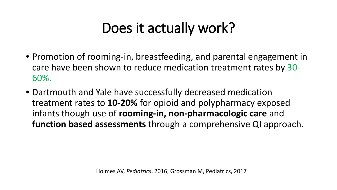### Does it actually work?

- Promotion of rooming-in, breastfeeding, and parental engagement in care have been shown to reduce medication treatment rates by 30- 60%.
- Dartmouth and Yale have successfully decreased medication treatment rates to **10-20%** for opioid and polypharmacy exposed infants though use of **rooming-in, non-pharmacologic care** and **function based assessments** through a comprehensive QI approach**.**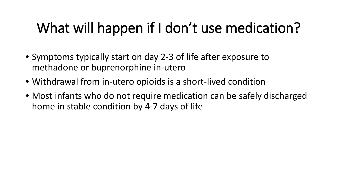### What will happen if I don't use medication?

- Symptoms typically start on day 2-3 of life after exposure to methadone or buprenorphine in-utero
- Withdrawal from in-utero opioids is a short-lived condition
- Most infants who do not require medication can be safely discharged home in stable condition by 4-7 days of life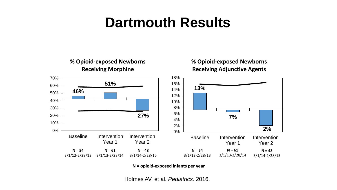### **Dartmouth Results**



**N = opioid-exposed infants per year**

Holmes AV, et al. *Pediatrics.* 2016.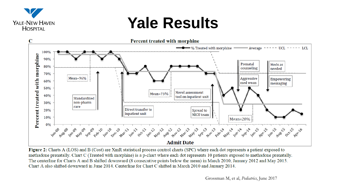

### **Yale Results**



Figure 2: Charts A (LOS) and B (Cost) are XmR statistical process control charts (SPC) where each dot represents a patient exposed to methadone prenatally. Chart C (Treated with morphine) is a p-chart where each dot represents 10 patients exposed to methadone prenatally. The centerline for Charts A and B shifted downward (8 consecutive points below the mean) in March 2010, January 2012 and May 2015. Chart A also shifted downward in June 2014. Centerline for Chart C shifted in March 2010 and January 2014.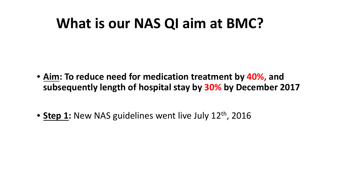### **What is our NAS QI aim at BMC?**

- **Aim: To reduce need for medication treatment by 40%, and subsequently length of hospital stay by 30% by December 2017**
- **Step 1:** New NAS guidelines went live July 12<sup>th</sup>, 2016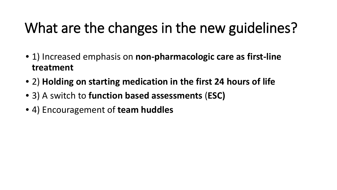### What are the changes in the new guidelines?

- 1) Increased emphasis on **non-pharmacologic care as first-line treatment**
- 2) **Holding on starting medication in the first 24 hours of life**
- 3) A switch to **function based assessments** (**ESC)**
- 4) Encouragement of **team huddles**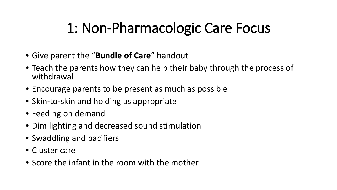### 1: Non-Pharmacologic Care Focus

- Give parent the "**Bundle of Care**" handout
- Teach the parents how they can help their baby through the process of withdrawal
- Encourage parents to be present as much as possible
- Skin-to-skin and holding as appropriate
- Feeding on demand
- Dim lighting and decreased sound stimulation
- Swaddling and pacifiers
- Cluster care
- Score the infant in the room with the mother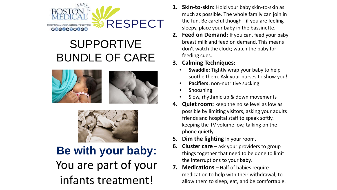

#### SUPPORTIVE BUNDLE OF CARE





#### **Be with your baby:** You are part of your infants treatment!

- **1. Skin-to-skin:** Hold your baby skin-to-skin as much as possible. The whole family can join in the fun. Be careful though - if you are feeling sleepy, place your baby in the bassinette.
- **2. Feed on Demand:** If you can, feed your baby breast milk and feed on demand. This means don't watch the clock; watch the baby for feeding cues.
- **3. Calming Techniques:**
	- **Swaddle:** Tightly wrap your baby to help soothe them. Ask your nurses to show you!
	- **Pacifiers:** non-nutritive sucking
	- **Shooshing**
	- Slow, rhythmic up & down movements
- **4. Quiet room:** keep the noise level as low as possible by limiting visitors, asking your adults friends and hospital staff to speak softly. keeping the TV volume low, talking on the phone quietly
- **5. Dim the lighting** in your room.
- **6. Cluster care** ask your providers to group things together that need to be done to limit the interruptions to your baby.
- **7. Medications** Half of babies require medication to help with their withdrawal, to allow them to sleep, eat, and be comfortable.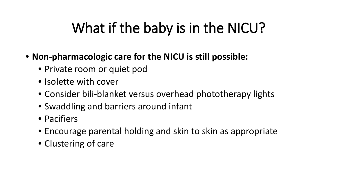### What if the baby is in the NICU?

- **Non-pharmacologic care for the NICU is still possible:** 
	- Private room or quiet pod
	- Isolette with cover
	- Consider bili-blanket versus overhead phototherapy lights
	- Swaddling and barriers around infant
	- Pacifiers
	- Encourage parental holding and skin to skin as appropriate
	- Clustering of care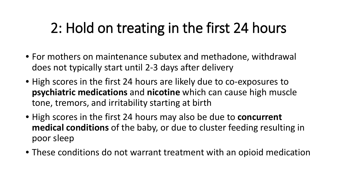### 2: Hold on treating in the first 24 hours

- For mothers on maintenance subutex and methadone, withdrawal does not typically start until 2-3 days after delivery
- High scores in the first 24 hours are likely due to co-exposures to **psychiatric medications** and **nicotine** which can cause high muscle tone, tremors, and irritability starting at birth
- High scores in the first 24 hours may also be due to **concurrent medical conditions** of the baby, or due to cluster feeding resulting in poor sleep
- These conditions do not warrant treatment with an opioid medication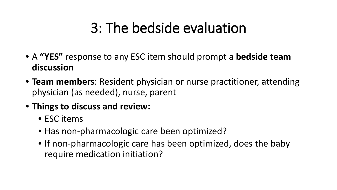### 3: The bedside evaluation

- A **"YES"** response to any ESC item should prompt a **bedside team discussion**
- **Team members**: Resident physician or nurse practitioner, attending physician (as needed), nurse, parent
- **Things to discuss and review:** 
	- ESC items
	- Has non-pharmacologic care been optimized?
	- If non-pharmacologic care has been optimized, does the baby require medication initiation?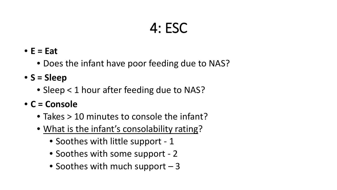### 4: ESC

- **E = Eat** 
	- Does the infant have poor feeding due to NAS?
- **S = Sleep**
	- Sleep < 1 hour after feeding due to NAS?
- **C = Console**
	- Takes > 10 minutes to console the infant?
	- What is the infant's consolability rating?
		- Soothes with little support 1
		- Soothes with some support 2
		- Soothes with much support  $-3$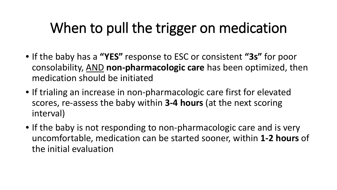### When to pull the trigger on medication

- If the baby has a **"YES"** response to ESC or consistent **"3s"** for poor consolability, AND **non-pharmacologic care** has been optimized, then medication should be initiated
- If trialing an increase in non-pharmacologic care first for elevated scores, re-assess the baby within **3-4 hours** (at the next scoring interval)
- If the baby is not responding to non-pharmacologic care and is very uncomfortable, medication can be started sooner, within **1-2 hours** of the initial evaluation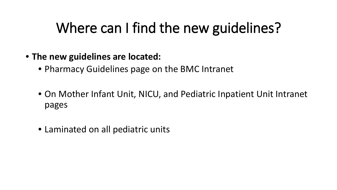### Where can I find the new guidelines?

- **The new guidelines are located:**
	- Pharmacy Guidelines page on the BMC Intranet
	- On Mother Infant Unit, NICU, and Pediatric Inpatient Unit Intranet pages
	- Laminated on all pediatric units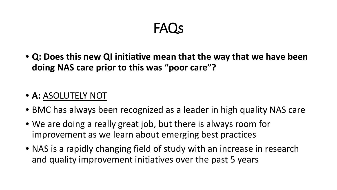### **FAOS**

• **Q: Does this new QI initiative mean that the way that we have been doing NAS care prior to this was "poor care"?** 

#### • **A:** ASOLUTELY NOT

- BMC has always been recognized as a leader in high quality NAS care
- We are doing a really great job, but there is always room for improvement as we learn about emerging best practices
- NAS is a rapidly changing field of study with an increase in research and quality improvement initiatives over the past 5 years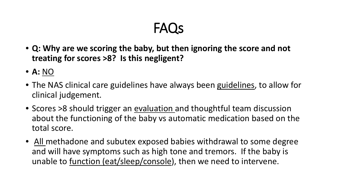### FAQs

- **Q: Why are we scoring the baby, but then ignoring the score and not treating for scores >8? Is this negligent?**
- **A:** NO
- The NAS clinical care guidelines have always been guidelines, to allow for clinical judgement.
- Scores >8 should trigger an evaluation and thoughtful team discussion about the functioning of the baby vs automatic medication based on the total score.
- All methadone and subutex exposed babies withdrawal to some degree and will have symptoms such as high tone and tremors. If the baby is unable to function (eat/sleep/console), then we need to intervene.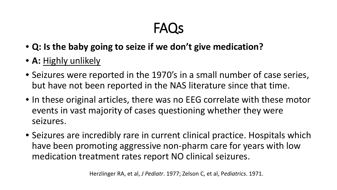### FAQs

- **Q: Is the baby going to seize if we don't give medication?**
- **A:** Highly unlikely
- Seizures were reported in the 1970's in a small number of case series, but have not been reported in the NAS literature since that time.
- In these original articles, there was no EEG correlate with these motor events in vast majority of cases questioning whether they were seizures.
- Seizures are incredibly rare in current clinical practice. Hospitals which have been promoting aggressive non-pharm care for years with low medication treatment rates report NO clinical seizures.

Herzlinger RA, et al, *J Pediatr*. 1977; Zelson C, et al, P*ediatrics*. 1971.